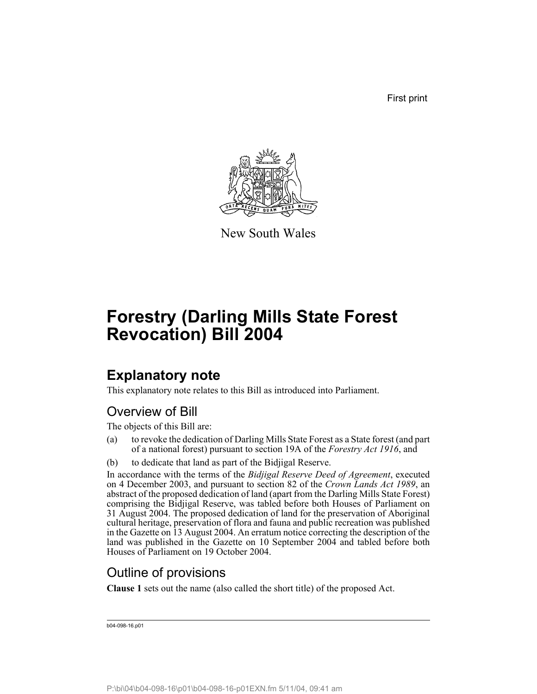First print



New South Wales

# **Forestry (Darling Mills State Forest Revocation) Bill 2004**

## **Explanatory note**

This explanatory note relates to this Bill as introduced into Parliament.

## Overview of Bill

The objects of this Bill are:

- (a) to revoke the dedication of Darling Mills State Forest as a State forest (and part of a national forest) pursuant to section 19A of the *Forestry Act 1916*, and
- (b) to dedicate that land as part of the Bidjigal Reserve.

In accordance with the terms of the *Bidjigal Reserve Deed of Agreement*, executed on 4 December 2003, and pursuant to section 82 of the *Crown Lands Act 1989*, an abstract of the proposed dedication of land (apart from the Darling Mills State Forest) comprising the Bidjigal Reserve, was tabled before both Houses of Parliament on 31 August 2004. The proposed dedication of land for the preservation of Aboriginal cultural heritage, preservation of flora and fauna and public recreation was published in the Gazette on 13 August 2004. An erratum notice correcting the description of the land was published in the Gazette on 10 September 2004 and tabled before both Houses of Parliament on 19 October 2004.

## Outline of provisions

**Clause 1** sets out the name (also called the short title) of the proposed Act.

b04-098-16.p01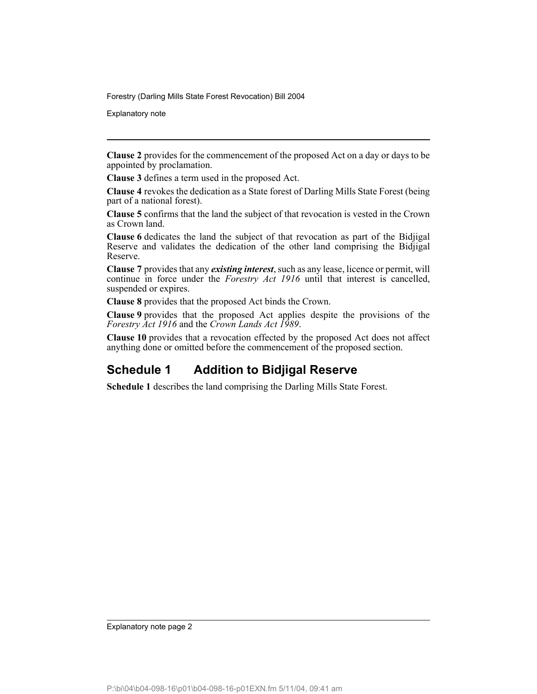Explanatory note

**Clause 2** provides for the commencement of the proposed Act on a day or days to be appointed by proclamation.

**Clause 3** defines a term used in the proposed Act.

**Clause 4** revokes the dedication as a State forest of Darling Mills State Forest (being part of a national forest).

**Clause 5** confirms that the land the subject of that revocation is vested in the Crown as Crown land.

**Clause 6** dedicates the land the subject of that revocation as part of the Bidjigal Reserve and validates the dedication of the other land comprising the Bidjigal Reserve.

**Clause 7** provides that any *existing interest*, such as any lease, licence or permit, will continue in force under the *Forestry Act 1916* until that interest is cancelled, suspended or expires.

**Clause 8** provides that the proposed Act binds the Crown.

**Clause 9** provides that the proposed Act applies despite the provisions of the *Forestry Act 1916* and the *Crown Lands Act 1989*.

**Clause 10** provides that a revocation effected by the proposed Act does not affect anything done or omitted before the commencement of the proposed section.

#### **Schedule 1 Addition to Bidjigal Reserve**

**Schedule 1** describes the land comprising the Darling Mills State Forest.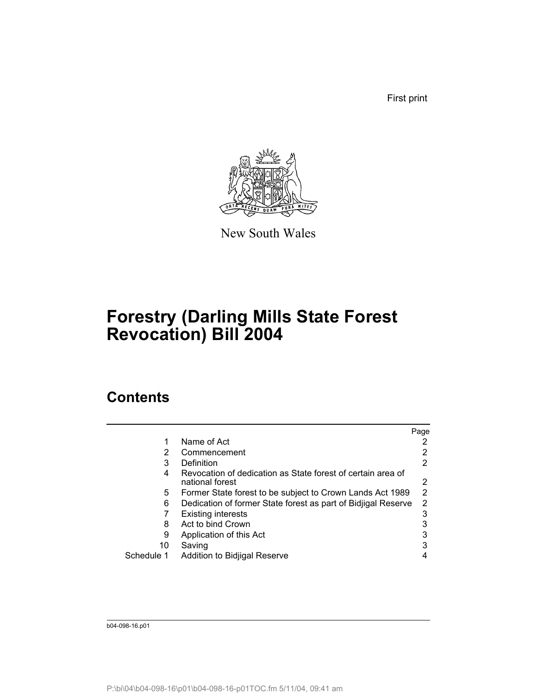First print



New South Wales

# **Forestry (Darling Mills State Forest Revocation) Bill 2004**

## **Contents**

|            |                                                                                | Page |
|------------|--------------------------------------------------------------------------------|------|
|            | Name of Act                                                                    | 2    |
| 2          | Commencement                                                                   | 2    |
| 3          | Definition                                                                     | 2    |
| 4          | Revocation of dedication as State forest of certain area of<br>national forest | 2    |
| 5          | Former State forest to be subject to Crown Lands Act 1989                      | 2    |
| 6          | Dedication of former State forest as part of Bidjigal Reserve                  | 2    |
|            | <b>Existing interests</b>                                                      | 3    |
| 8          | Act to bind Crown                                                              | 3    |
| 9          | Application of this Act                                                        | 3    |
| 10         | Saving                                                                         | 3    |
| Schedule 1 | Addition to Bidjigal Reserve                                                   | 4    |
|            |                                                                                |      |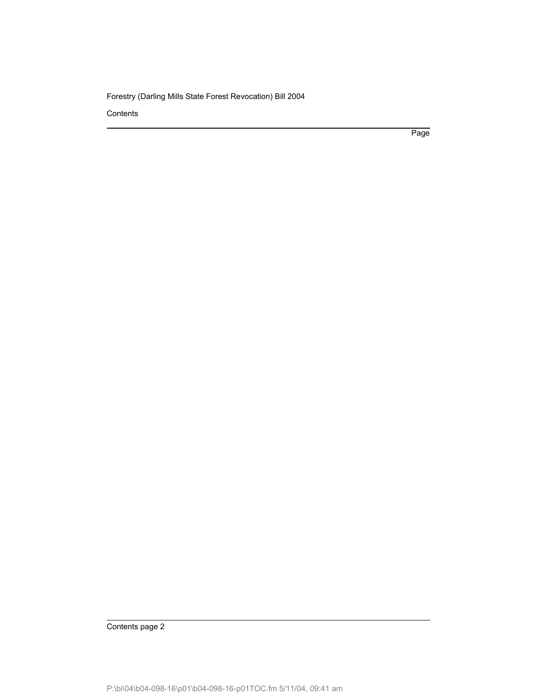**Contents** 

Page

Contents page 2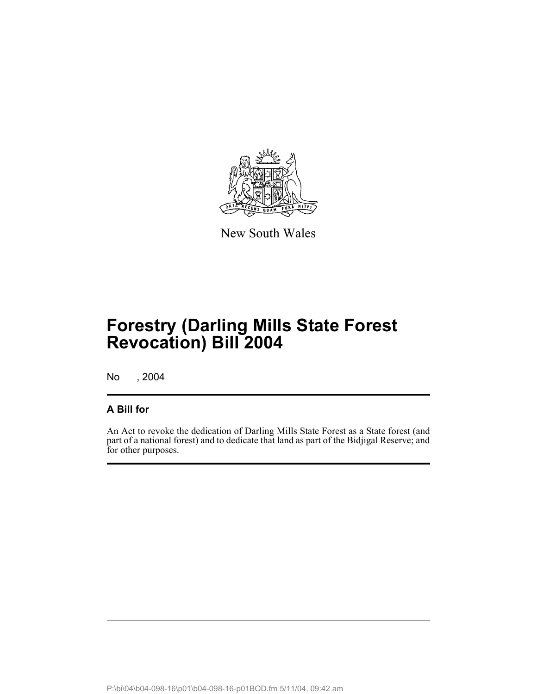

New South Wales

No , 2004

#### **A Bill for**

An Act to revoke the dedication of Darling Mills State Forest as a State forest (and part of a national forest) and to dedicate that land as part of the Bidjigal Reserve; and for other purposes.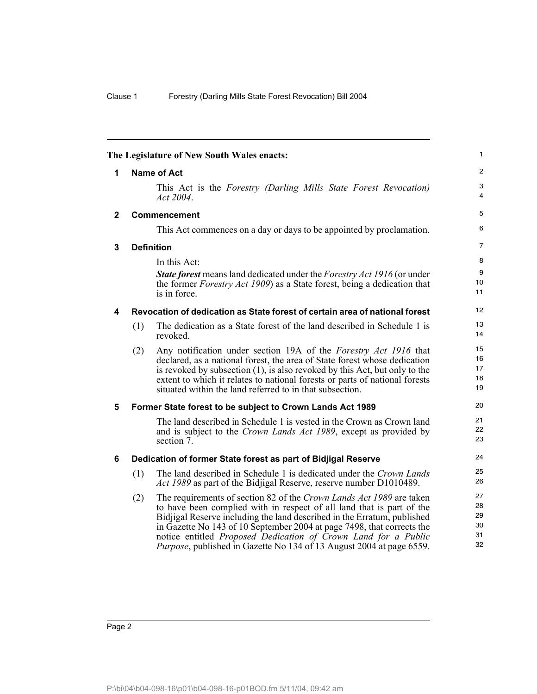<span id="page-5-4"></span><span id="page-5-3"></span><span id="page-5-2"></span><span id="page-5-1"></span><span id="page-5-0"></span>

|             |                   | The Legislature of New South Wales enacts:                                                                                                              |          |
|-------------|-------------------|---------------------------------------------------------------------------------------------------------------------------------------------------------|----------|
| 1           |                   | <b>Name of Act</b>                                                                                                                                      |          |
|             |                   | This Act is the Forestry (Darling Mills State Forest Revocation)<br>Act 2004.                                                                           |          |
| $\mathbf 2$ | Commencement      |                                                                                                                                                         |          |
|             |                   | This Act commences on a day or days to be appointed by proclamation.                                                                                    |          |
| 3           | <b>Definition</b> |                                                                                                                                                         |          |
|             |                   | In this Act:                                                                                                                                            |          |
|             |                   | <b>State forest</b> means land dedicated under the <i>Forestry Act 1916</i> (or under                                                                   |          |
|             |                   | the former <i>Forestry Act 1909</i> ) as a State forest, being a dedication that<br>is in force.                                                        | 10<br>11 |
| 4           |                   | Revocation of dedication as State forest of certain area of national forest                                                                             | 12       |
|             | (1)               | The dedication as a State forest of the land described in Schedule 1 is<br>revoked.                                                                     | 13<br>14 |
|             | (2)               | Any notification under section 19A of the Forestry Act 1916 that                                                                                        | 15       |
|             |                   | declared, as a national forest, the area of State forest whose dedication<br>is revoked by subsection (1), is also revoked by this Act, but only to the | 16<br>17 |
|             |                   | extent to which it relates to national forests or parts of national forests                                                                             | 18       |
|             |                   | situated within the land referred to in that subsection.                                                                                                | 19       |
| 5           |                   | Former State forest to be subject to Crown Lands Act 1989                                                                                               | 20       |
|             |                   | The land described in Schedule 1 is vested in the Crown as Crown land                                                                                   | 21       |
|             |                   | and is subject to the <i>Crown Lands Act 1989</i> , except as provided by                                                                               | 22<br>23 |
|             |                   | section 7.                                                                                                                                              |          |
| 6           |                   | Dedication of former State forest as part of Bidjigal Reserve                                                                                           | 24       |
|             | (1)               | The land described in Schedule 1 is dedicated under the Crown Lands                                                                                     | 25       |
|             |                   | Act 1989 as part of the Bidjigal Reserve, reserve number D1010489.                                                                                      | 26       |
|             | (2)               | The requirements of section 82 of the Crown Lands Act 1989 are taken                                                                                    | 27       |
|             |                   | to have been complied with in respect of all land that is part of the                                                                                   | 28<br>29 |
|             |                   | Bidjigal Reserve including the land described in the Erratum, published                                                                                 | 30       |
|             |                   | in Gazette No 143 of 10 September 2004 at page 7498, that corrects the<br>notice entitled Proposed Dedication of Crown Land for a Public                | 31       |
|             |                   | Purpose, published in Gazette No 134 of 13 August 2004 at page 6559.                                                                                    |          |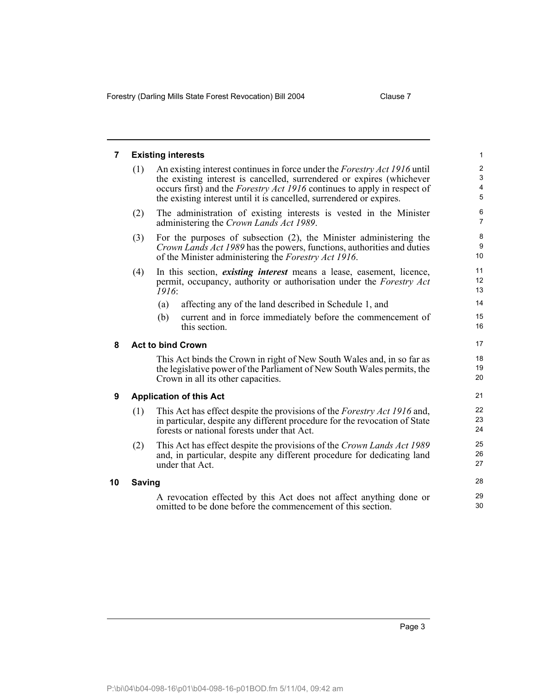| . Jause |  |
|---------|--|
|---------|--|

<span id="page-6-3"></span><span id="page-6-2"></span><span id="page-6-1"></span><span id="page-6-0"></span>

| $\overline{7}$ |               | <b>Existing interests</b>                                                                                                                                                                                                                                                                                            | $\mathbf{1}$                                        |
|----------------|---------------|----------------------------------------------------------------------------------------------------------------------------------------------------------------------------------------------------------------------------------------------------------------------------------------------------------------------|-----------------------------------------------------|
|                | (1)           | An existing interest continues in force under the <i>Forestry Act 1916</i> until<br>the existing interest is cancelled, surrendered or expires (whichever<br>occurs first) and the <i>Forestry Act 1916</i> continues to apply in respect of<br>the existing interest until it is cancelled, surrendered or expires. | $\overline{c}$<br>3<br>$\overline{\mathbf{4}}$<br>5 |
|                | (2)           | The administration of existing interests is vested in the Minister<br>administering the Crown Lands Act 1989.                                                                                                                                                                                                        | $\,6$<br>$\overline{7}$                             |
|                | (3)           | For the purposes of subsection $(2)$ , the Minister administering the<br><i>Crown Lands Act 1989</i> has the powers, functions, authorities and duties<br>of the Minister administering the <i>Forestry Act 1916</i> .                                                                                               | 8<br>9<br>10                                        |
|                | (4)           | In this section, <i>existing interest</i> means a lease, easement, licence,<br>permit, occupancy, authority or authorisation under the Forestry Act<br>1916:                                                                                                                                                         | 11<br>12<br>13                                      |
|                |               | affecting any of the land described in Schedule 1, and<br>(a)                                                                                                                                                                                                                                                        | 14                                                  |
|                |               | (b)<br>current and in force immediately before the commencement of<br>this section.                                                                                                                                                                                                                                  | 15<br>16                                            |
| 8              |               | <b>Act to bind Crown</b>                                                                                                                                                                                                                                                                                             | 17                                                  |
|                |               | This Act binds the Crown in right of New South Wales and, in so far as<br>the legislative power of the Parliament of New South Wales permits, the<br>Crown in all its other capacities.                                                                                                                              | 18<br>19<br>20                                      |
| 9              |               | <b>Application of this Act</b>                                                                                                                                                                                                                                                                                       | 21                                                  |
|                | (1)           | This Act has effect despite the provisions of the <i>Forestry Act 1916</i> and,<br>in particular, despite any different procedure for the revocation of State<br>forests or national forests under that Act.                                                                                                         | 22<br>23<br>24                                      |
|                | (2)           | This Act has effect despite the provisions of the Crown Lands Act 1989<br>and, in particular, despite any different procedure for dedicating land<br>under that Act.                                                                                                                                                 | 25<br>26<br>27                                      |
| 10             | <b>Saving</b> |                                                                                                                                                                                                                                                                                                                      |                                                     |
|                |               | A revocation effected by this Act does not affect anything done or<br>omitted to be done before the commencement of this section.                                                                                                                                                                                    | 29<br>30                                            |
|                |               |                                                                                                                                                                                                                                                                                                                      |                                                     |